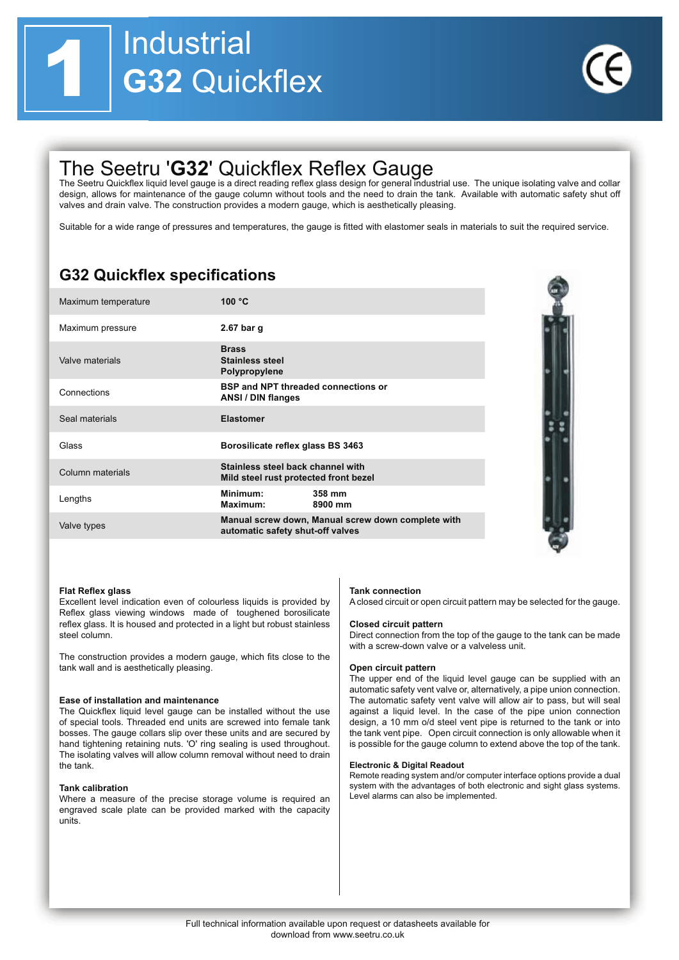

# The Seetru 'G32' Quickflex Reflex Gauge

The Seetru Quickflex liquid level gauge is a direct reading reflex glass design for general industrial use. The unique isolating valve and collar design, allows for maintenance of the gauge column without tools and the need to drain the tank. Available with automatic safety shut off valves and drain valve. The construction provides a modern gauge, which is aesthetically pleasing.

Suitable for a wide range of pressures and temperatures, the gauge is fitted with elastomer seals in materials to suit the required service.

### **G32 Quickflex specifications**

| Maximum temperature | 100 $\degree$ C                                                            |                                                    |
|---------------------|----------------------------------------------------------------------------|----------------------------------------------------|
| Maximum pressure    | 2.67 bar g                                                                 |                                                    |
| Valve materials     | <b>Brass</b><br><b>Stainless steel</b><br>Polypropylene                    |                                                    |
| Connections         | <b>BSP and NPT threaded connections or</b><br><b>ANSI / DIN flanges</b>    |                                                    |
| Seal materials      | <b>Elastomer</b>                                                           |                                                    |
| Glass               | Borosilicate reflex glass BS 3463                                          |                                                    |
| Column materials    | Stainless steel back channel with<br>Mild steel rust protected front bezel |                                                    |
| Lengths             | Minimum:<br>Maximum:                                                       | 358 mm<br>8900 mm                                  |
| Valve types         | automatic safety shut-off valves                                           | Manual screw down, Manual screw down complete with |

### **Flat Reflex glass**

Excellent level indication even of colourless liquids is provided by Reflex glass viewing windows made of toughened borosilicate reflex glass. It is housed and protected in a light but robust stainless steel column

The construction provides a modern gauge, which fits close to the tank wall and is aesthetically pleasing.

### Ease of installation and maintenance

The Quickflex liquid level gauge can be installed without the use of special tools. Threaded end units are screwed into female tank bosses. The gauge collars slip over these units and are secured by hand tightening retaining nuts. 'O' ring sealing is used throughout. The isolating valves will allow column removal without need to drain the tank

### **Tank calibration**

Where a measure of the precise storage volume is required an engraved scale plate can be provided marked with the capacity units.

### **Tank connection**

A closed circuit or open circuit pattern may be selected for the gauge.

### **Closed circuit pattern**

Direct connection from the top of the gauge to the tank can be made with a screw-down valve or a valveless unit.

### Open circuit pattern

The upper end of the liquid level gauge can be supplied with an automatic safety vent valve or, alternatively, a pipe union connection. The automatic safety vent valve will allow air to pass, but will seal against a liquid level. In the case of the pipe union connection design, a 10 mm o/d steel vent pipe is returned to the tank or into the tank vent pipe. Open circuit connection is only allowable when it is possible for the gauge column to extend above the top of the tank.

### **Electronic & Digital Readout**

Remote reading system and/or computer interface options provide a dual system with the advantages of both electronic and sight glass systems. Level alarms can also be implemented.